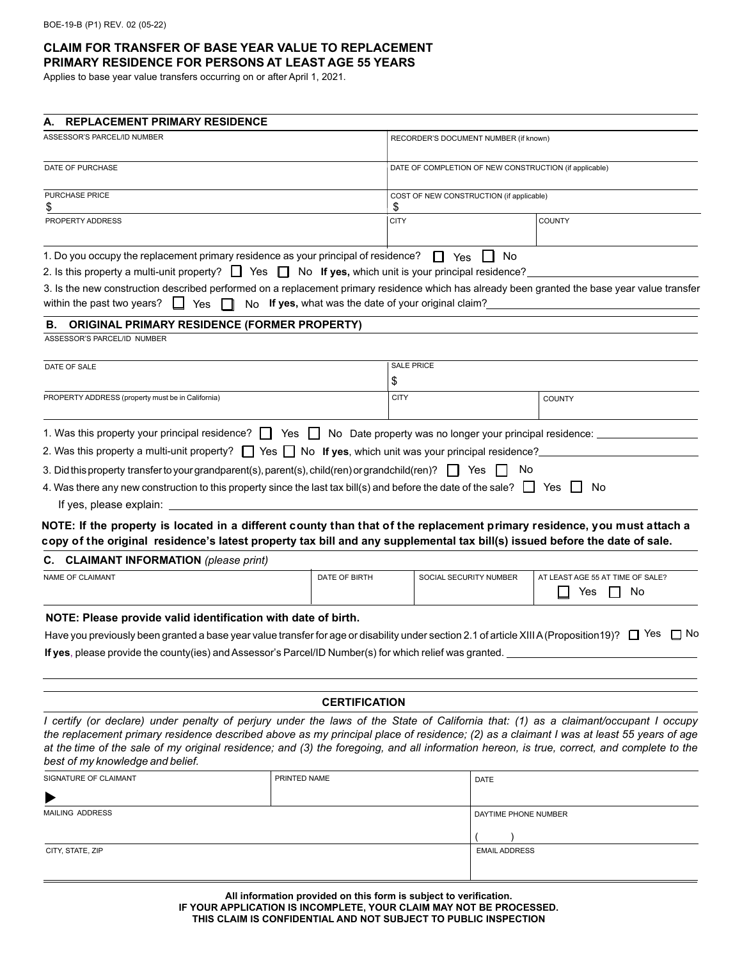## **CLAIM FOR TRANSFER OF BASE YEAR VALUE TO REPLACEMENT PRIMARY RESIDENCE FOR PERSONS AT LEAST AGE 55 YEARS**

Applies to base year value transfers occurring on or after April 1, 2021.

| <b>REPLACEMENT PRIMARY RESIDENCE</b><br>А.                                                                                                                                                                                                             |                                                      |                                                        |                        |                                  |
|--------------------------------------------------------------------------------------------------------------------------------------------------------------------------------------------------------------------------------------------------------|------------------------------------------------------|--------------------------------------------------------|------------------------|----------------------------------|
| ASSESSOR'S PARCEL/ID NUMBER                                                                                                                                                                                                                            |                                                      | RECORDER'S DOCUMENT NUMBER (if known)                  |                        |                                  |
| DATE OF PURCHASE                                                                                                                                                                                                                                       |                                                      | DATE OF COMPLETION OF NEW CONSTRUCTION (if applicable) |                        |                                  |
| PURCHASE PRICE                                                                                                                                                                                                                                         |                                                      | COST OF NEW CONSTRUCTION (if applicable)               |                        |                                  |
| \$                                                                                                                                                                                                                                                     |                                                      | P.                                                     |                        |                                  |
| PROPERTY ADDRESS                                                                                                                                                                                                                                       |                                                      | <b>CITY</b>                                            |                        | <b>COUNTY</b>                    |
| 1. Do you occupy the replacement primary residence as your principal of residence?                                                                                                                                                                     |                                                      | $\Box$ Yes                                             | No                     |                                  |
| 2. Is this property a multi-unit property? $\Box$ Yes $\Box$ No If yes, which unit is your principal residence?                                                                                                                                        |                                                      |                                                        |                        |                                  |
| 3. Is the new construction described performed on a replacement primary residence which has already been granted the base year value transfer<br>within the past two years?<br>$\perp$<br>Yes<br>$\perp$                                               | No If yes, what was the date of your original claim? |                                                        |                        |                                  |
| <b>ORIGINAL PRIMARY RESIDENCE (FORMER PROPERTY)</b><br>В.                                                                                                                                                                                              |                                                      |                                                        |                        |                                  |
| ASSESSOR'S PARCEL/ID NUMBER                                                                                                                                                                                                                            |                                                      |                                                        |                        |                                  |
| DATE OF SALE                                                                                                                                                                                                                                           |                                                      | <b>SALE PRICE</b>                                      |                        |                                  |
|                                                                                                                                                                                                                                                        |                                                      | \$                                                     |                        |                                  |
| PROPERTY ADDRESS (property must be in California)                                                                                                                                                                                                      |                                                      | <b>CITY</b>                                            |                        | <b>COUNTY</b>                    |
| 1. Was this property your principal residence? <b>The State State State State property was no longer your principal residence:</b>                                                                                                                     |                                                      |                                                        |                        |                                  |
| 2. Was this property a multi-unit property? $\Box$ Yes $\Box$ No If yes, which unit was your principal residence?                                                                                                                                      |                                                      |                                                        |                        |                                  |
| 3. Did this property transfer to your grandparent(s), parent(s), child(ren) or grandchild(ren)? $\Box$ Yes $\Box$ No                                                                                                                                   |                                                      |                                                        |                        |                                  |
| 4. Was there any new construction to this property since the last tax bill(s) and before the date of the sale? $\Box$ Yes $\Box$                                                                                                                       |                                                      |                                                        |                        | No.                              |
| If yes, please explain: _                                                                                                                                                                                                                              |                                                      |                                                        |                        |                                  |
|                                                                                                                                                                                                                                                        |                                                      |                                                        |                        |                                  |
| NOTE: If the property is located in a different county than that of the replacement primary residence, you must attach a<br>copy of the original residence's latest property tax bill and any supplemental tax bill(s) issued before the date of sale. |                                                      |                                                        |                        |                                  |
| C. CLAIMANT INFORMATION (please print)                                                                                                                                                                                                                 |                                                      |                                                        |                        |                                  |
| NAME OF CLAIMANT<br>DATE OF BIRTH                                                                                                                                                                                                                      |                                                      |                                                        | SOCIAL SECURITY NUMBER | AT LEAST AGE 55 AT TIME OF SALE? |
|                                                                                                                                                                                                                                                        |                                                      |                                                        |                        | Yes<br>No                        |
| NOTE: Please provide valid identification with date of birth.                                                                                                                                                                                          |                                                      |                                                        |                        |                                  |
| Have you previously been granted a base year value transfer for age or disability under section 2.1 of article XIII A (Proposition 19)? $\square$ Yes $\square$ No                                                                                     |                                                      |                                                        |                        |                                  |
| If yes, please provide the county(ies) and Assessor's Parcel/ID Number(s) for which relief was granted.                                                                                                                                                |                                                      |                                                        |                        |                                  |
|                                                                                                                                                                                                                                                        |                                                      |                                                        |                        |                                  |
|                                                                                                                                                                                                                                                        | <b>CERTIFICATION</b>                                 |                                                        |                        |                                  |
| I certify (or declare) under penalty of perjury under the laws of the State of California that: (1) as a claimant/occupant I occupy                                                                                                                    |                                                      |                                                        |                        |                                  |
| the replacement primary residence described above as my principal place of residence; (2) as a claimant I was at least 55 years of age                                                                                                                 |                                                      |                                                        |                        |                                  |
| at the time of the sale of my original residence; and (3) the foregoing, and all information hereon, is true, correct, and complete to the                                                                                                             |                                                      |                                                        |                        |                                  |
| best of my knowledge and belief.                                                                                                                                                                                                                       |                                                      |                                                        |                        |                                  |
| SIGNATURE OF CLAIMANT                                                                                                                                                                                                                                  | PRINTED NAME                                         |                                                        | <b>DATE</b>            |                                  |
|                                                                                                                                                                                                                                                        |                                                      |                                                        |                        |                                  |
| <b>MAILING ADDRESS</b>                                                                                                                                                                                                                                 |                                                      |                                                        | DAYTIME PHONE NUMBER   |                                  |

**All information provided on this form is subject to verification. IF YOUR APPLICATION IS INCOMPLETE, YOUR CLAIM MAY NOT BE PROCESSED. THIS CLAIM IS CONFIDENTIAL AND NOT SUBJECT TO PUBLIC INSPECTION**

CITY, STATE, ZIP EMAIL ADDRESS

 $\frac{1}{2}$  EMAIL ADDRESS